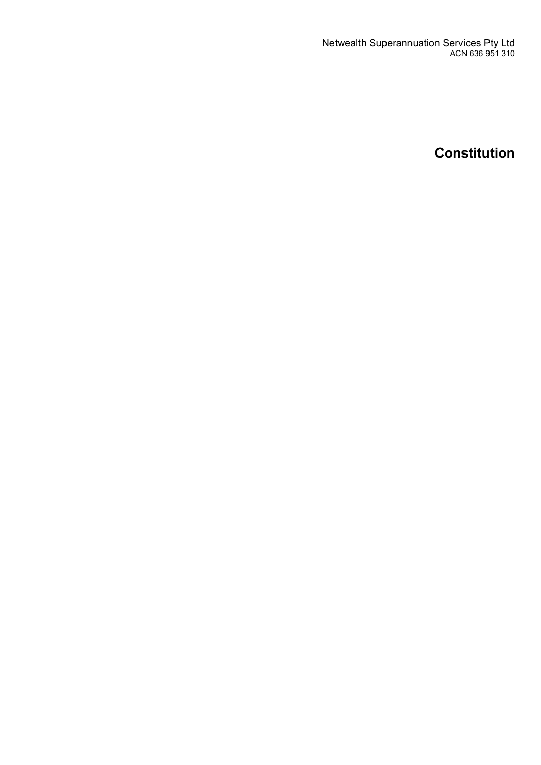Netwealth Superannuation Services Pty Ltd ACN 636 951 310

**Constitution**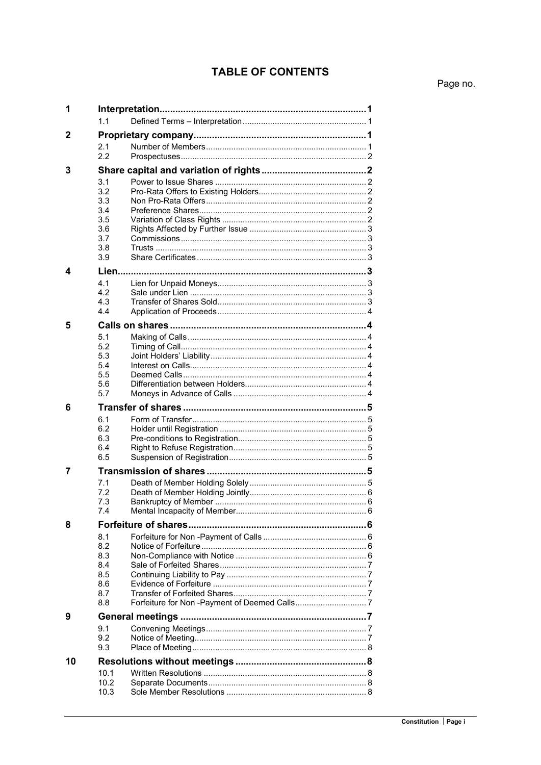## **TABLE OF CONTENTS**

Page no.

| 1  |              |  |  |  |  |
|----|--------------|--|--|--|--|
|    | 1.1          |  |  |  |  |
| 2  |              |  |  |  |  |
|    | 2.1<br>22    |  |  |  |  |
| 3  |              |  |  |  |  |
|    |              |  |  |  |  |
|    | 3.1<br>3.2   |  |  |  |  |
|    | 3.3          |  |  |  |  |
|    | 3.4          |  |  |  |  |
|    | 3.5          |  |  |  |  |
|    | 3.6          |  |  |  |  |
|    | 3.7          |  |  |  |  |
|    | 3.8          |  |  |  |  |
|    | 3.9          |  |  |  |  |
| 4  | Lien         |  |  |  |  |
|    | 4.1          |  |  |  |  |
|    | 4.2          |  |  |  |  |
|    | 4.3          |  |  |  |  |
|    | 4.4          |  |  |  |  |
| 5  |              |  |  |  |  |
|    | 5.1          |  |  |  |  |
|    | 5.2          |  |  |  |  |
|    | 5.3          |  |  |  |  |
|    | 5.4<br>5.5   |  |  |  |  |
|    | 5.6          |  |  |  |  |
|    | 5.7          |  |  |  |  |
| 6  |              |  |  |  |  |
|    | 6.1          |  |  |  |  |
|    | 6.2          |  |  |  |  |
|    | 6.3          |  |  |  |  |
|    |              |  |  |  |  |
|    | 6.4          |  |  |  |  |
|    | 6.5          |  |  |  |  |
| 7  |              |  |  |  |  |
|    | 7.1          |  |  |  |  |
|    | 7.2          |  |  |  |  |
|    | 7.3          |  |  |  |  |
|    | 7.4          |  |  |  |  |
| 8  |              |  |  |  |  |
|    | 8.1          |  |  |  |  |
|    | 8.2          |  |  |  |  |
|    | 8.3          |  |  |  |  |
|    | 8.4          |  |  |  |  |
|    | 8.5<br>8.6   |  |  |  |  |
|    | 8.7          |  |  |  |  |
|    | 8.8          |  |  |  |  |
| 9  |              |  |  |  |  |
|    | 9.1          |  |  |  |  |
|    | 9.2          |  |  |  |  |
|    | 9.3          |  |  |  |  |
| 10 |              |  |  |  |  |
|    | 10.1         |  |  |  |  |
|    | 10.2<br>10.3 |  |  |  |  |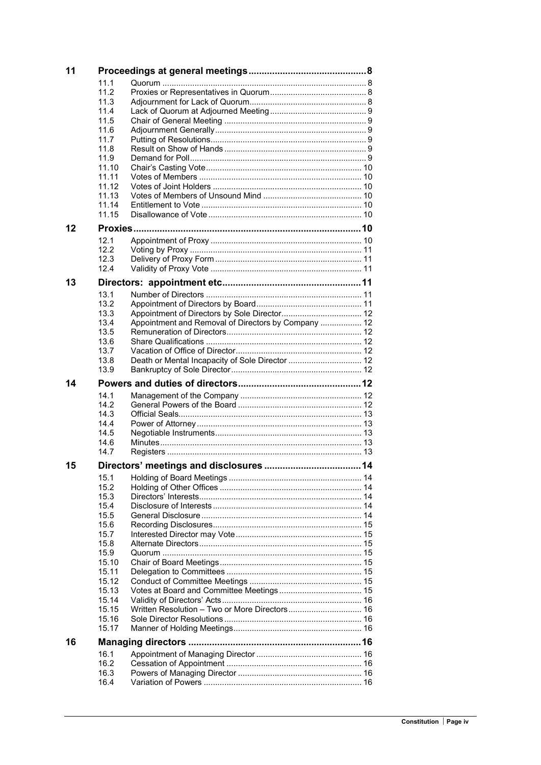| 11 |              |                                                     |  |  |  |
|----|--------------|-----------------------------------------------------|--|--|--|
|    | 11.1         |                                                     |  |  |  |
|    | 11.2         |                                                     |  |  |  |
|    | 11.3         |                                                     |  |  |  |
|    | 11.4         |                                                     |  |  |  |
|    | 11.5         |                                                     |  |  |  |
|    | 11.6         |                                                     |  |  |  |
|    | 11.7<br>11.8 |                                                     |  |  |  |
|    | 11.9         |                                                     |  |  |  |
|    | 11.10        |                                                     |  |  |  |
|    | 11.11        |                                                     |  |  |  |
|    | 11.12        |                                                     |  |  |  |
|    | 11.13        |                                                     |  |  |  |
|    | 11.14        |                                                     |  |  |  |
|    | 11.15        |                                                     |  |  |  |
| 12 |              |                                                     |  |  |  |
|    | 12.1         |                                                     |  |  |  |
|    | 12.2         |                                                     |  |  |  |
|    | 12.3         |                                                     |  |  |  |
|    | 12.4         |                                                     |  |  |  |
| 13 |              |                                                     |  |  |  |
|    | 13.1         |                                                     |  |  |  |
|    | 13.2         |                                                     |  |  |  |
|    | 13.3         |                                                     |  |  |  |
|    | 13.4         | Appointment and Removal of Directors by Company  12 |  |  |  |
|    | 13.5         |                                                     |  |  |  |
|    | 13.6<br>13.7 |                                                     |  |  |  |
|    | 13.8         | Death or Mental Incapacity of Sole Director  12     |  |  |  |
|    | 13.9         |                                                     |  |  |  |
| 14 |              |                                                     |  |  |  |
|    |              |                                                     |  |  |  |
|    |              |                                                     |  |  |  |
|    | 14.1         |                                                     |  |  |  |
|    | 14.2<br>14.3 |                                                     |  |  |  |
|    | 14.4         |                                                     |  |  |  |
|    | 14.5         |                                                     |  |  |  |
|    | 14.6         |                                                     |  |  |  |
|    | 14.7         |                                                     |  |  |  |
| 15 |              |                                                     |  |  |  |
|    | 15.1         |                                                     |  |  |  |
|    | 15.2         |                                                     |  |  |  |
|    | 15.3         |                                                     |  |  |  |
|    | 15.4         |                                                     |  |  |  |
|    | 15.5         |                                                     |  |  |  |
|    | 15.6         |                                                     |  |  |  |
|    | 15.7         |                                                     |  |  |  |
|    | 15.8<br>15.9 |                                                     |  |  |  |
|    | 15.10        |                                                     |  |  |  |
|    | 15.11        |                                                     |  |  |  |
|    | 15.12        |                                                     |  |  |  |
|    | 15.13        |                                                     |  |  |  |
|    | 15.14        |                                                     |  |  |  |
|    | 15.15        |                                                     |  |  |  |
|    | 15.16        |                                                     |  |  |  |
|    | 15.17        |                                                     |  |  |  |
| 16 |              |                                                     |  |  |  |
|    | 16.1         |                                                     |  |  |  |
|    | 16.2         |                                                     |  |  |  |
|    | 16.3<br>16.4 |                                                     |  |  |  |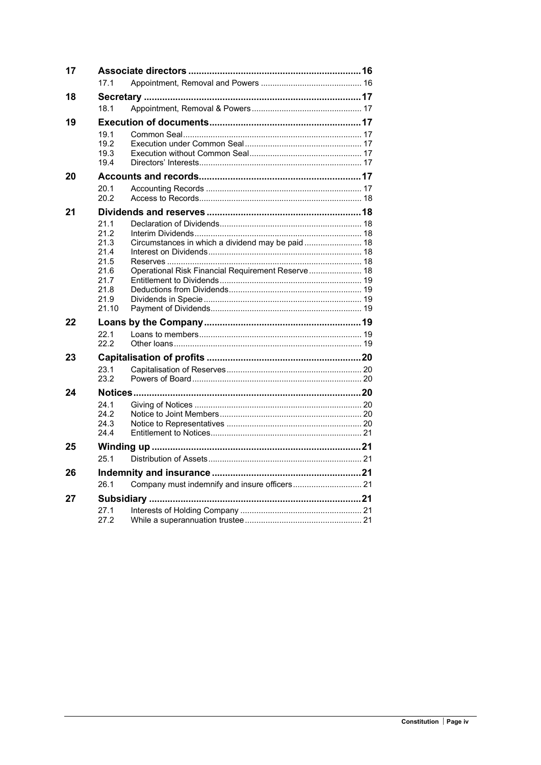| 17 |                 |                                                   |  |  |  |
|----|-----------------|---------------------------------------------------|--|--|--|
|    | 17 <sub>1</sub> |                                                   |  |  |  |
| 18 |                 |                                                   |  |  |  |
|    | 18.1            |                                                   |  |  |  |
| 19 |                 |                                                   |  |  |  |
|    | 19.1            |                                                   |  |  |  |
|    | 19.2<br>19.3    |                                                   |  |  |  |
|    | 19.4            |                                                   |  |  |  |
| 20 |                 |                                                   |  |  |  |
|    | 20.1            |                                                   |  |  |  |
|    | 20.2            |                                                   |  |  |  |
| 21 |                 |                                                   |  |  |  |
|    | 21.1            |                                                   |  |  |  |
|    | 21.2            |                                                   |  |  |  |
|    | 21.3<br>21.4    |                                                   |  |  |  |
|    | 21.5            |                                                   |  |  |  |
|    | 21.6            | Operational Risk Financial Requirement Reserve 18 |  |  |  |
|    | 21.7<br>21.8    |                                                   |  |  |  |
|    | 21.9            |                                                   |  |  |  |
|    | 21.10           |                                                   |  |  |  |
| 22 |                 |                                                   |  |  |  |
|    | 22.1            |                                                   |  |  |  |
|    | 22.2            |                                                   |  |  |  |
| 23 |                 |                                                   |  |  |  |
|    | 23.1<br>23.2    |                                                   |  |  |  |
|    |                 |                                                   |  |  |  |
| 24 | 24.1            |                                                   |  |  |  |
|    | 24.2            |                                                   |  |  |  |
|    | 24.3            |                                                   |  |  |  |
|    | 24.4            |                                                   |  |  |  |
| 25 |                 |                                                   |  |  |  |
|    | 25.1            |                                                   |  |  |  |
| 26 |                 |                                                   |  |  |  |
|    | 26.1            |                                                   |  |  |  |
| 27 |                 |                                                   |  |  |  |
|    | 27.1            |                                                   |  |  |  |
|    | 27.2            |                                                   |  |  |  |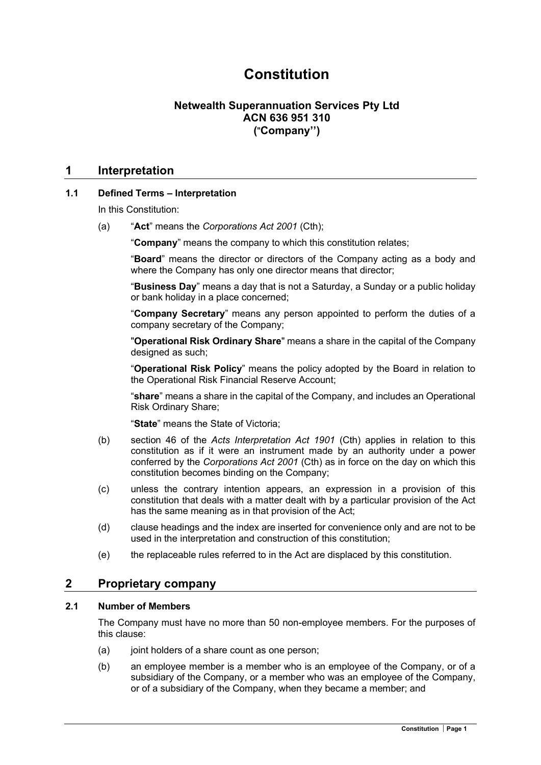# Constitution

## Netwealth Superannuation Services Pty Ltd ACN 636 951 310 ("Company'')

### 1 Interpretation

### 1.1 Defined Terms – Interpretation

In this Constitution:

(a) "Act" means the Corporations Act 2001 (Cth);

"Company" means the company to which this constitution relates;

"Board" means the director or directors of the Company acting as a body and where the Company has only one director means that director;

"Business Day" means a day that is not a Saturday, a Sunday or a public holiday or bank holiday in a place concerned;

"Company Secretary" means any person appointed to perform the duties of a company secretary of the Company;

"Operational Risk Ordinary Share" means a share in the capital of the Company designed as such;

"Operational Risk Policy" means the policy adopted by the Board in relation to the Operational Risk Financial Reserve Account;

"share" means a share in the capital of the Company, and includes an Operational Risk Ordinary Share;

"State" means the State of Victoria;

- (b) section 46 of the Acts Interpretation Act 1901 (Cth) applies in relation to this constitution as if it were an instrument made by an authority under a power conferred by the Corporations Act 2001 (Cth) as in force on the day on which this constitution becomes binding on the Company;
- (c) unless the contrary intention appears, an expression in a provision of this constitution that deals with a matter dealt with by a particular provision of the Act has the same meaning as in that provision of the Act;
- (d) clause headings and the index are inserted for convenience only and are not to be used in the interpretation and construction of this constitution;
- (e) the replaceable rules referred to in the Act are displaced by this constitution.

### 2 Proprietary company

### 2.1 Number of Members

The Company must have no more than 50 non-employee members. For the purposes of this clause:

- $(a)$  joint holders of a share count as one person;
- (b) an employee member is a member who is an employee of the Company, or of a subsidiary of the Company, or a member who was an employee of the Company, or of a subsidiary of the Company, when they became a member; and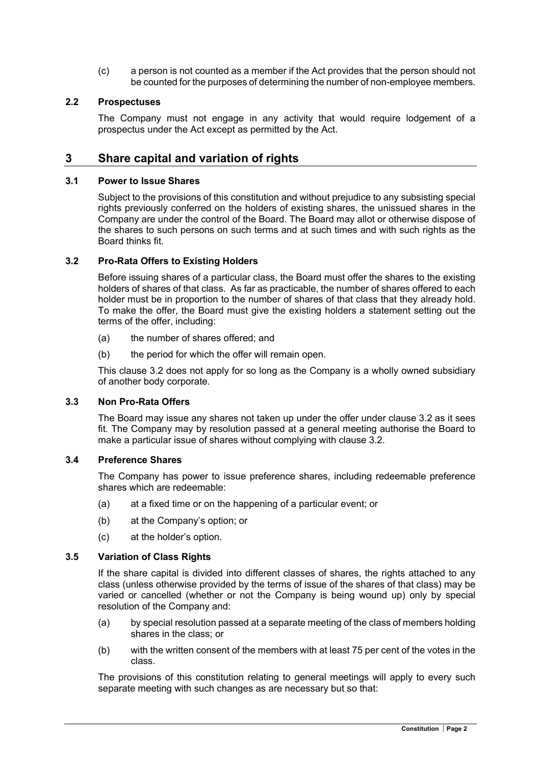(c) a person is not counted as a member if the Act provides that the person should not be counted for the purposes of determining the number of non-employee members.

### 2.2 Prospectuses

The Company must not engage in any activity that would require lodgement of a prospectus under the Act except as permitted by the Act.

### 3 Share capital and variation of rights

#### 3.1 Power to Issue Shares

Subject to the provisions of this constitution and without prejudice to any subsisting special rights previously conferred on the holders of existing shares, the unissued shares in the Company are under the control of the Board. The Board may allot or otherwise dispose of the shares to such persons on such terms and at such times and with such rights as the Board thinks fit.

### 3.2 Pro-Rata Offers to Existing Holders

Before issuing shares of a particular class, the Board must offer the shares to the existing holders of shares of that class. As far as practicable, the number of shares offered to each holder must be in proportion to the number of shares of that class that they already hold. To make the offer, the Board must give the existing holders a statement setting out the terms of the offer, including:

- (a) the number of shares offered; and
- (b) the period for which the offer will remain open.

This clause 3.2 does not apply for so long as the Company is a wholly owned subsidiary of another body corporate.

### 3.3 Non Pro-Rata Offers

The Board may issue any shares not taken up under the offer under clause 3.2 as it sees fit. The Company may by resolution passed at a general meeting authorise the Board to make a particular issue of shares without complying with clause 3.2.

### 3.4 Preference Shares

The Company has power to issue preference shares, including redeemable preference shares which are redeemable:

- (a) at a fixed time or on the happening of a particular event; or
- (b) at the Company's option; or
- (c) at the holder's option.

#### 3.5 Variation of Class Rights

If the share capital is divided into different classes of shares, the rights attached to any class (unless otherwise provided by the terms of issue of the shares of that class) may be varied or cancelled (whether or not the Company is being wound up) only by special resolution of the Company and:

- (a) by special resolution passed at a separate meeting of the class of members holding shares in the class; or
- (b) with the written consent of the members with at least 75 per cent of the votes in the class.

The provisions of this constitution relating to general meetings will apply to every such separate meeting with such changes as are necessary but so that: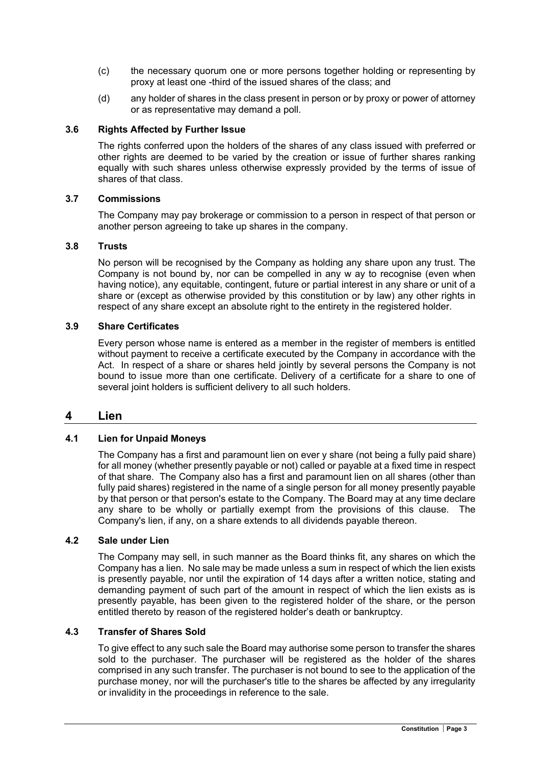- (c) the necessary quorum one or more persons together holding or representing by proxy at least one -third of the issued shares of the class; and
- (d) any holder of shares in the class present in person or by proxy or power of attorney or as representative may demand a poll.

### 3.6 Rights Affected by Further Issue

The rights conferred upon the holders of the shares of any class issued with preferred or other rights are deemed to be varied by the creation or issue of further shares ranking equally with such shares unless otherwise expressly provided by the terms of issue of shares of that class.

### 3.7 Commissions

The Company may pay brokerage or commission to a person in respect of that person or another person agreeing to take up shares in the company.

### 3.8 Trusts

No person will be recognised by the Company as holding any share upon any trust. The Company is not bound by, nor can be compelled in any w ay to recognise (even when having notice), any equitable, contingent, future or partial interest in any share or unit of a share or (except as otherwise provided by this constitution or by law) any other rights in respect of any share except an absolute right to the entirety in the registered holder.

### 3.9 Share Certificates

Every person whose name is entered as a member in the register of members is entitled without payment to receive a certificate executed by the Company in accordance with the Act. In respect of a share or shares held jointly by several persons the Company is not bound to issue more than one certificate. Delivery of a certificate for a share to one of several joint holders is sufficient delivery to all such holders.

### 4 Lien

### 4.1 Lien for Unpaid Moneys

The Company has a first and paramount lien on ever y share (not being a fully paid share) for all money (whether presently payable or not) called or payable at a fixed time in respect of that share. The Company also has a first and paramount lien on all shares (other than fully paid shares) registered in the name of a single person for all money presently payable by that person or that person's estate to the Company. The Board may at any time declare any share to be wholly or partially exempt from the provisions of this clause. The Company's lien, if any, on a share extends to all dividends payable thereon.

### 4.2 Sale under Lien

The Company may sell, in such manner as the Board thinks fit, any shares on which the Company has a lien. No sale may be made unless a sum in respect of which the lien exists is presently payable, nor until the expiration of 14 days after a written notice, stating and demanding payment of such part of the amount in respect of which the lien exists as is presently payable, has been given to the registered holder of the share, or the person entitled thereto by reason of the registered holder's death or bankruptcy.

### 4.3 Transfer of Shares Sold

To give effect to any such sale the Board may authorise some person to transfer the shares sold to the purchaser. The purchaser will be registered as the holder of the shares comprised in any such transfer. The purchaser is not bound to see to the application of the purchase money, nor will the purchaser's title to the shares be affected by any irregularity or invalidity in the proceedings in reference to the sale.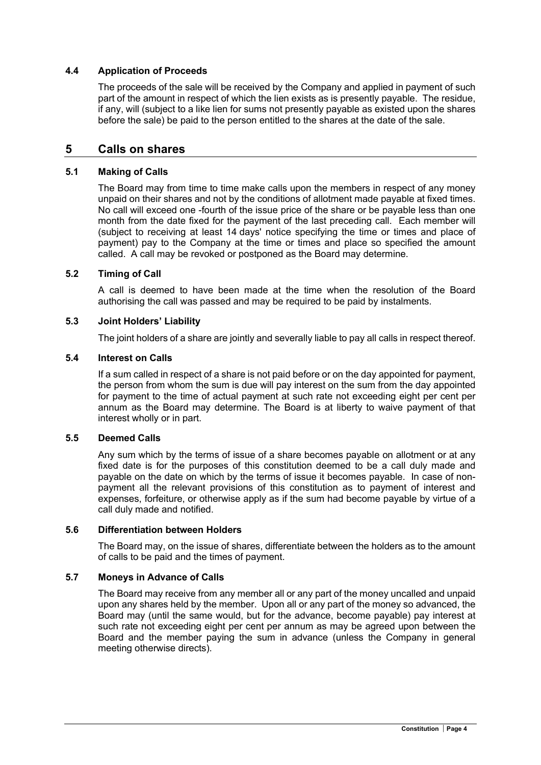### 4.4 Application of Proceeds

The proceeds of the sale will be received by the Company and applied in payment of such part of the amount in respect of which the lien exists as is presently payable. The residue, if any, will (subject to a like lien for sums not presently payable as existed upon the shares before the sale) be paid to the person entitled to the shares at the date of the sale.

### 5 Calls on shares

#### 5.1 Making of Calls

The Board may from time to time make calls upon the members in respect of any money unpaid on their shares and not by the conditions of allotment made payable at fixed times. No call will exceed one -fourth of the issue price of the share or be payable less than one month from the date fixed for the payment of the last preceding call. Each member will (subject to receiving at least 14 days' notice specifying the time or times and place of payment) pay to the Company at the time or times and place so specified the amount called. A call may be revoked or postponed as the Board may determine.

### 5.2 Timing of Call

A call is deemed to have been made at the time when the resolution of the Board authorising the call was passed and may be required to be paid by instalments.

#### 5.3 Joint Holders' Liability

The joint holders of a share are jointly and severally liable to pay all calls in respect thereof.

#### 5.4 Interest on Calls

If a sum called in respect of a share is not paid before or on the day appointed for payment, the person from whom the sum is due will pay interest on the sum from the day appointed for payment to the time of actual payment at such rate not exceeding eight per cent per annum as the Board may determine. The Board is at liberty to waive payment of that interest wholly or in part.

#### 5.5 Deemed Calls

Any sum which by the terms of issue of a share becomes payable on allotment or at any fixed date is for the purposes of this constitution deemed to be a call duly made and payable on the date on which by the terms of issue it becomes payable. In case of nonpayment all the relevant provisions of this constitution as to payment of interest and expenses, forfeiture, or otherwise apply as if the sum had become payable by virtue of a call duly made and notified.

#### 5.6 Differentiation between Holders

The Board may, on the issue of shares, differentiate between the holders as to the amount of calls to be paid and the times of payment.

#### 5.7 Moneys in Advance of Calls

The Board may receive from any member all or any part of the money uncalled and unpaid upon any shares held by the member. Upon all or any part of the money so advanced, the Board may (until the same would, but for the advance, become payable) pay interest at such rate not exceeding eight per cent per annum as may be agreed upon between the Board and the member paying the sum in advance (unless the Company in general meeting otherwise directs).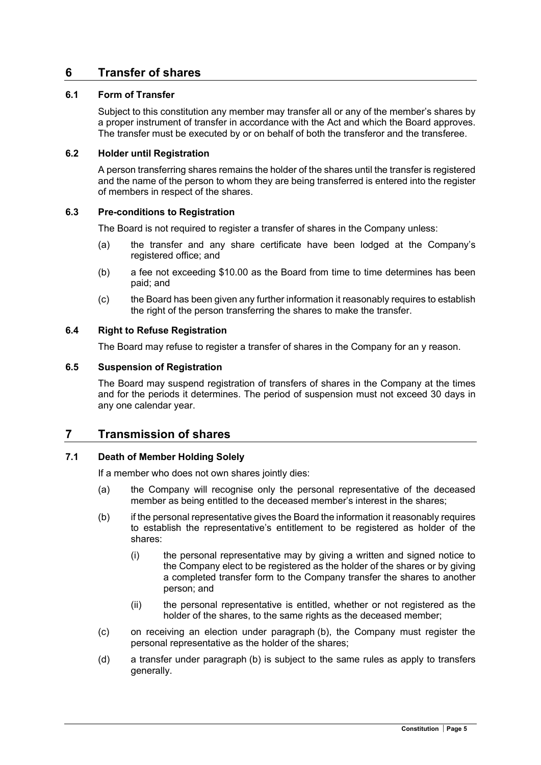## 6 Transfer of shares

### 6.1 Form of Transfer

Subject to this constitution any member may transfer all or any of the member's shares by a proper instrument of transfer in accordance with the Act and which the Board approves. The transfer must be executed by or on behalf of both the transferor and the transferee.

### 6.2 Holder until Registration

A person transferring shares remains the holder of the shares until the transfer is registered and the name of the person to whom they are being transferred is entered into the register of members in respect of the shares.

### 6.3 Pre-conditions to Registration

The Board is not required to register a transfer of shares in the Company unless:

- (a) the transfer and any share certificate have been lodged at the Company's registered office; and
- (b) a fee not exceeding \$10.00 as the Board from time to time determines has been paid; and
- (c) the Board has been given any further information it reasonably requires to establish the right of the person transferring the shares to make the transfer.

### 6.4 Right to Refuse Registration

The Board may refuse to register a transfer of shares in the Company for an y reason.

### 6.5 Suspension of Registration

The Board may suspend registration of transfers of shares in the Company at the times and for the periods it determines. The period of suspension must not exceed 30 days in any one calendar year.

### 7 Transmission of shares

### 7.1 Death of Member Holding Solely

If a member who does not own shares jointly dies:

- (a) the Company will recognise only the personal representative of the deceased member as being entitled to the deceased member's interest in the shares;
- (b) if the personal representative gives the Board the information it reasonably requires to establish the representative's entitlement to be registered as holder of the shares:
	- (i) the personal representative may by giving a written and signed notice to the Company elect to be registered as the holder of the shares or by giving a completed transfer form to the Company transfer the shares to another person; and
	- (ii) the personal representative is entitled, whether or not registered as the holder of the shares, to the same rights as the deceased member;
- (c) on receiving an election under paragraph (b), the Company must register the personal representative as the holder of the shares;
- (d) a transfer under paragraph (b) is subject to the same rules as apply to transfers generally.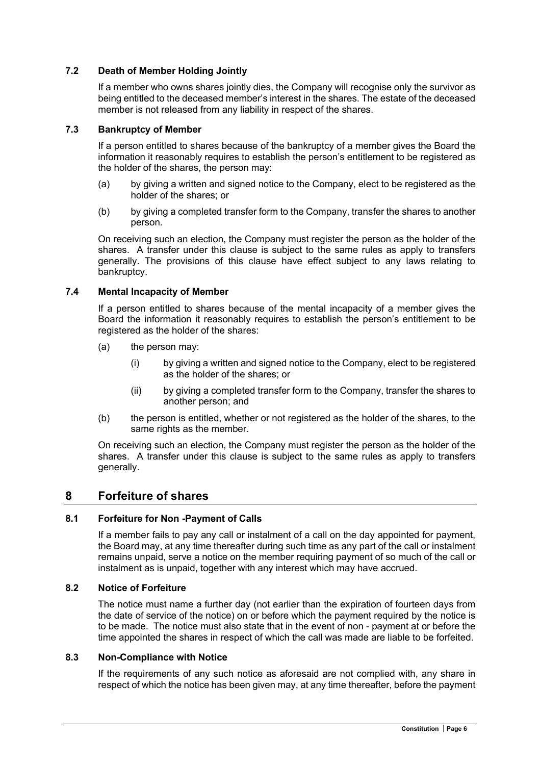### 7.2 Death of Member Holding Jointly

If a member who owns shares jointly dies, the Company will recognise only the survivor as being entitled to the deceased member's interest in the shares. The estate of the deceased member is not released from any liability in respect of the shares.

#### 7.3 Bankruptcy of Member

If a person entitled to shares because of the bankruptcy of a member gives the Board the information it reasonably requires to establish the person's entitlement to be registered as the holder of the shares, the person may:

- (a) by giving a written and signed notice to the Company, elect to be registered as the holder of the shares; or
- (b) by giving a completed transfer form to the Company, transfer the shares to another person.

On receiving such an election, the Company must register the person as the holder of the shares. A transfer under this clause is subject to the same rules as apply to transfers generally. The provisions of this clause have effect subject to any laws relating to bankruptcy.

#### 7.4 Mental Incapacity of Member

If a person entitled to shares because of the mental incapacity of a member gives the Board the information it reasonably requires to establish the person's entitlement to be registered as the holder of the shares:

- (a) the person may:
	- (i) by giving a written and signed notice to the Company, elect to be registered as the holder of the shares; or
	- (ii) by giving a completed transfer form to the Company, transfer the shares to another person; and
- (b) the person is entitled, whether or not registered as the holder of the shares, to the same rights as the member.

On receiving such an election, the Company must register the person as the holder of the shares. A transfer under this clause is subject to the same rules as apply to transfers generally.

### 8 Forfeiture of shares

### 8.1 Forfeiture for Non -Payment of Calls

If a member fails to pay any call or instalment of a call on the day appointed for payment, the Board may, at any time thereafter during such time as any part of the call or instalment remains unpaid, serve a notice on the member requiring payment of so much of the call or instalment as is unpaid, together with any interest which may have accrued.

#### 8.2 Notice of Forfeiture

The notice must name a further day (not earlier than the expiration of fourteen days from the date of service of the notice) on or before which the payment required by the notice is to be made. The notice must also state that in the event of non - payment at or before the time appointed the shares in respect of which the call was made are liable to be forfeited.

### 8.3 Non-Compliance with Notice

If the requirements of any such notice as aforesaid are not complied with, any share in respect of which the notice has been given may, at any time thereafter, before the payment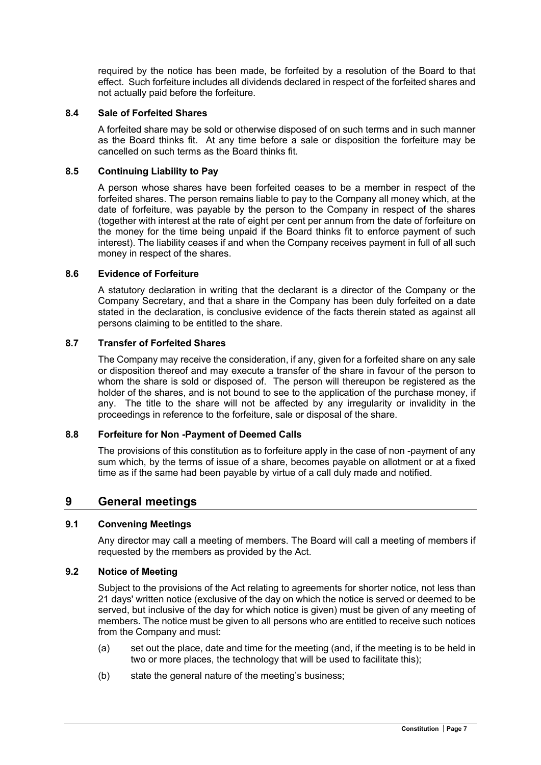required by the notice has been made, be forfeited by a resolution of the Board to that effect. Such forfeiture includes all dividends declared in respect of the forfeited shares and not actually paid before the forfeiture.

### 8.4 Sale of Forfeited Shares

A forfeited share may be sold or otherwise disposed of on such terms and in such manner as the Board thinks fit. At any time before a sale or disposition the forfeiture may be cancelled on such terms as the Board thinks fit.

### 8.5 Continuing Liability to Pay

A person whose shares have been forfeited ceases to be a member in respect of the forfeited shares. The person remains liable to pay to the Company all money which, at the date of forfeiture, was payable by the person to the Company in respect of the shares (together with interest at the rate of eight per cent per annum from the date of forfeiture on the money for the time being unpaid if the Board thinks fit to enforce payment of such interest). The liability ceases if and when the Company receives payment in full of all such money in respect of the shares.

### 8.6 Evidence of Forfeiture

A statutory declaration in writing that the declarant is a director of the Company or the Company Secretary, and that a share in the Company has been duly forfeited on a date stated in the declaration, is conclusive evidence of the facts therein stated as against all persons claiming to be entitled to the share.

### 8.7 Transfer of Forfeited Shares

The Company may receive the consideration, if any, given for a forfeited share on any sale or disposition thereof and may execute a transfer of the share in favour of the person to whom the share is sold or disposed of. The person will thereupon be registered as the holder of the shares, and is not bound to see to the application of the purchase money, if any. The title to the share will not be affected by any irregularity or invalidity in the proceedings in reference to the forfeiture, sale or disposal of the share.

### 8.8 Forfeiture for Non -Payment of Deemed Calls

The provisions of this constitution as to forfeiture apply in the case of non -payment of any sum which, by the terms of issue of a share, becomes payable on allotment or at a fixed time as if the same had been payable by virtue of a call duly made and notified.

### 9 General meetings

### 9.1 Convening Meetings

Any director may call a meeting of members. The Board will call a meeting of members if requested by the members as provided by the Act.

### 9.2 Notice of Meeting

Subject to the provisions of the Act relating to agreements for shorter notice, not less than 21 days' written notice (exclusive of the day on which the notice is served or deemed to be served, but inclusive of the day for which notice is given) must be given of any meeting of members. The notice must be given to all persons who are entitled to receive such notices from the Company and must:

- (a) set out the place, date and time for the meeting (and, if the meeting is to be held in two or more places, the technology that will be used to facilitate this);
- (b) state the general nature of the meeting's business;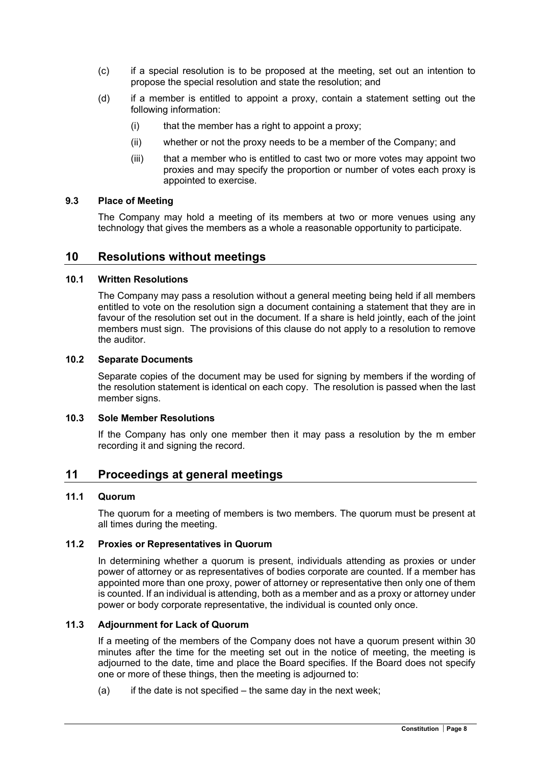- (c) if a special resolution is to be proposed at the meeting, set out an intention to propose the special resolution and state the resolution; and
- (d) if a member is entitled to appoint a proxy, contain a statement setting out the following information:
	- (i) that the member has a right to appoint a proxy;
	- (ii) whether or not the proxy needs to be a member of the Company; and
	- (iii) that a member who is entitled to cast two or more votes may appoint two proxies and may specify the proportion or number of votes each proxy is appointed to exercise.

### 9.3 Place of Meeting

The Company may hold a meeting of its members at two or more venues using any technology that gives the members as a whole a reasonable opportunity to participate.

### 10 Resolutions without meetings

### 10.1 Written Resolutions

The Company may pass a resolution without a general meeting being held if all members entitled to vote on the resolution sign a document containing a statement that they are in favour of the resolution set out in the document. If a share is held jointly, each of the joint members must sign. The provisions of this clause do not apply to a resolution to remove the auditor.

### 10.2 Separate Documents

Separate copies of the document may be used for signing by members if the wording of the resolution statement is identical on each copy. The resolution is passed when the last member signs.

### 10.3 Sole Member Resolutions

If the Company has only one member then it may pass a resolution by the m ember recording it and signing the record.

### 11 Proceedings at general meetings

### 11.1 Quorum

The quorum for a meeting of members is two members. The quorum must be present at all times during the meeting.

### 11.2 Proxies or Representatives in Quorum

In determining whether a quorum is present, individuals attending as proxies or under power of attorney or as representatives of bodies corporate are counted. If a member has appointed more than one proxy, power of attorney or representative then only one of them is counted. If an individual is attending, both as a member and as a proxy or attorney under power or body corporate representative, the individual is counted only once.

### 11.3 Adjournment for Lack of Quorum

If a meeting of the members of the Company does not have a quorum present within 30 minutes after the time for the meeting set out in the notice of meeting, the meeting is adjourned to the date, time and place the Board specifies. If the Board does not specify one or more of these things, then the meeting is adjourned to:

 $(a)$  if the date is not specified – the same day in the next week;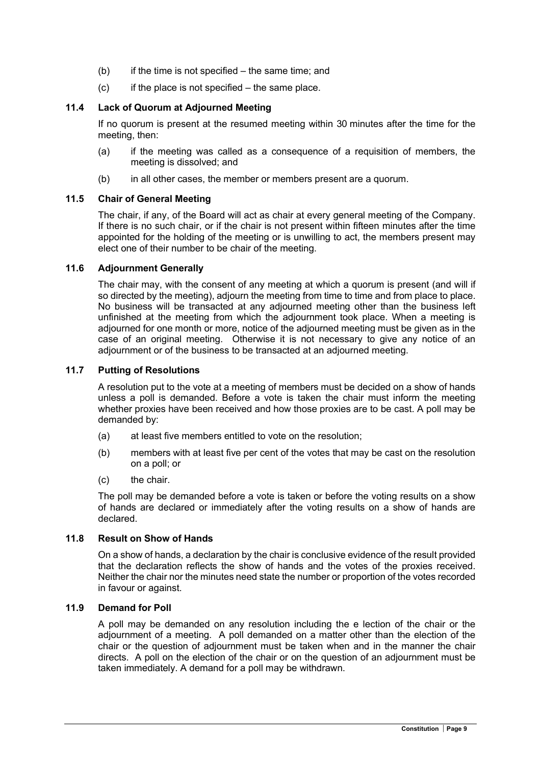- $(b)$  if the time is not specified the same time; and
- $(c)$  if the place is not specified the same place.

### 11.4 Lack of Quorum at Adjourned Meeting

If no quorum is present at the resumed meeting within 30 minutes after the time for the meeting, then:

- (a) if the meeting was called as a consequence of a requisition of members, the meeting is dissolved; and
- (b) in all other cases, the member or members present are a quorum.

### 11.5 Chair of General Meeting

The chair, if any, of the Board will act as chair at every general meeting of the Company. If there is no such chair, or if the chair is not present within fifteen minutes after the time appointed for the holding of the meeting or is unwilling to act, the members present may elect one of their number to be chair of the meeting.

### 11.6 Adjournment Generally

The chair may, with the consent of any meeting at which a quorum is present (and will if so directed by the meeting), adjourn the meeting from time to time and from place to place. No business will be transacted at any adjourned meeting other than the business left unfinished at the meeting from which the adjournment took place. When a meeting is adjourned for one month or more, notice of the adjourned meeting must be given as in the case of an original meeting. Otherwise it is not necessary to give any notice of an adjournment or of the business to be transacted at an adjourned meeting.

### 11.7 Putting of Resolutions

A resolution put to the vote at a meeting of members must be decided on a show of hands unless a poll is demanded. Before a vote is taken the chair must inform the meeting whether proxies have been received and how those proxies are to be cast. A poll may be demanded by:

- (a) at least five members entitled to vote on the resolution;
- (b) members with at least five per cent of the votes that may be cast on the resolution on a poll; or
- (c) the chair.

The poll may be demanded before a vote is taken or before the voting results on a show of hands are declared or immediately after the voting results on a show of hands are declared.

### 11.8 Result on Show of Hands

On a show of hands, a declaration by the chair is conclusive evidence of the result provided that the declaration reflects the show of hands and the votes of the proxies received. Neither the chair nor the minutes need state the number or proportion of the votes recorded in favour or against.

### 11.9 Demand for Poll

A poll may be demanded on any resolution including the e lection of the chair or the adjournment of a meeting. A poll demanded on a matter other than the election of the chair or the question of adjournment must be taken when and in the manner the chair directs. A poll on the election of the chair or on the question of an adjournment must be taken immediately. A demand for a poll may be withdrawn.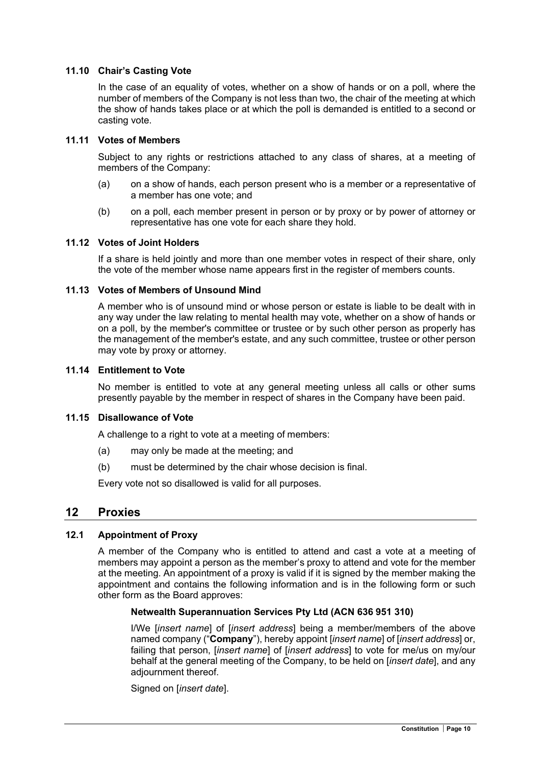### 11.10 Chair's Casting Vote

In the case of an equality of votes, whether on a show of hands or on a poll, where the number of members of the Company is not less than two, the chair of the meeting at which the show of hands takes place or at which the poll is demanded is entitled to a second or casting vote.

#### 11.11 Votes of Members

Subject to any rights or restrictions attached to any class of shares, at a meeting of members of the Company:

- (a) on a show of hands, each person present who is a member or a representative of a member has one vote; and
- (b) on a poll, each member present in person or by proxy or by power of attorney or representative has one vote for each share they hold.

#### 11.12 Votes of Joint Holders

If a share is held jointly and more than one member votes in respect of their share, only the vote of the member whose name appears first in the register of members counts.

#### 11.13 Votes of Members of Unsound Mind

A member who is of unsound mind or whose person or estate is liable to be dealt with in any way under the law relating to mental health may vote, whether on a show of hands or on a poll, by the member's committee or trustee or by such other person as properly has the management of the member's estate, and any such committee, trustee or other person may vote by proxy or attorney.

#### 11.14 Entitlement to Vote

No member is entitled to vote at any general meeting unless all calls or other sums presently payable by the member in respect of shares in the Company have been paid.

#### 11.15 Disallowance of Vote

A challenge to a right to vote at a meeting of members:

- (a) may only be made at the meeting; and
- (b) must be determined by the chair whose decision is final.

Every vote not so disallowed is valid for all purposes.

### 12 Proxies

### 12.1 Appointment of Proxy

A member of the Company who is entitled to attend and cast a vote at a meeting of members may appoint a person as the member's proxy to attend and vote for the member at the meeting. An appointment of a proxy is valid if it is signed by the member making the appointment and contains the following information and is in the following form or such other form as the Board approves:

### Netwealth Superannuation Services Pty Ltd (ACN 636 951 310)

I/We [insert name] of [insert address] being a member/members of the above named company ("Company"), hereby appoint [insert name] of [insert address] or, failing that person, *[insert name]* of *[insert address]* to vote for me/us on my/our behalf at the general meeting of the Company, to be held on [insert date], and any adjournment thereof.

Signed on *linsert datel*.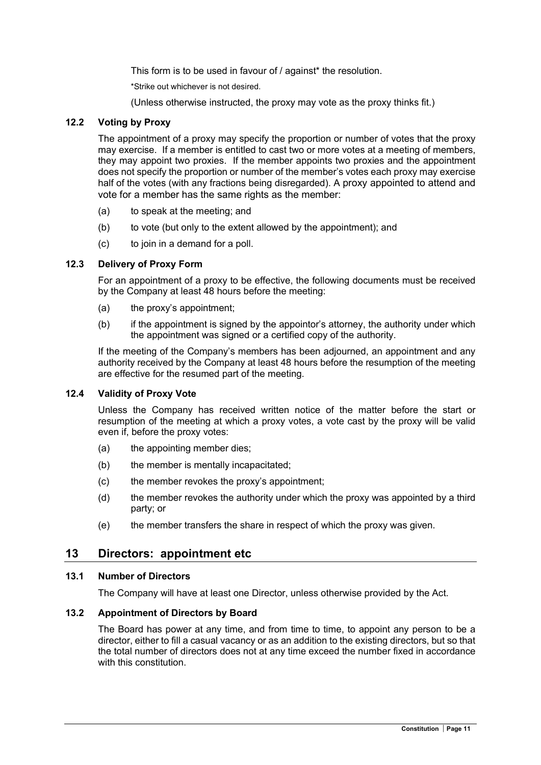This form is to be used in favour of / against\* the resolution.

\*Strike out whichever is not desired.

(Unless otherwise instructed, the proxy may vote as the proxy thinks fit.)

### 12.2 Voting by Proxy

The appointment of a proxy may specify the proportion or number of votes that the proxy may exercise. If a member is entitled to cast two or more votes at a meeting of members, they may appoint two proxies. If the member appoints two proxies and the appointment does not specify the proportion or number of the member's votes each proxy may exercise half of the votes (with any fractions being disregarded). A proxy appointed to attend and vote for a member has the same rights as the member:

- (a) to speak at the meeting; and
- $(b)$  to vote (but only to the extent allowed by the appointment); and
- (c) to join in a demand for a poll.

### 12.3 Delivery of Proxy Form

For an appointment of a proxy to be effective, the following documents must be received by the Company at least 48 hours before the meeting:

- (a) the proxy's appointment;
- (b) if the appointment is signed by the appointor's attorney, the authority under which the appointment was signed or a certified copy of the authority.

If the meeting of the Company's members has been adjourned, an appointment and any authority received by the Company at least 48 hours before the resumption of the meeting are effective for the resumed part of the meeting.

### 12.4 Validity of Proxy Vote

Unless the Company has received written notice of the matter before the start or resumption of the meeting at which a proxy votes, a vote cast by the proxy will be valid even if, before the proxy votes:

- (a) the appointing member dies;
- (b) the member is mentally incapacitated;
- (c) the member revokes the proxy's appointment;
- (d) the member revokes the authority under which the proxy was appointed by a third party; or
- (e) the member transfers the share in respect of which the proxy was given.

### 13 Directors: appointment etc

### 13.1 Number of Directors

The Company will have at least one Director, unless otherwise provided by the Act.

### 13.2 Appointment of Directors by Board

The Board has power at any time, and from time to time, to appoint any person to be a director, either to fill a casual vacancy or as an addition to the existing directors, but so that the total number of directors does not at any time exceed the number fixed in accordance with this constitution.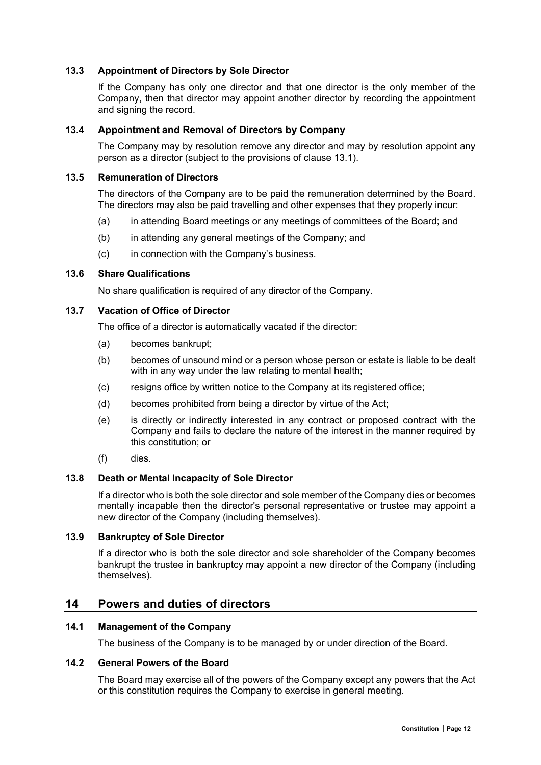### 13.3 Appointment of Directors by Sole Director

If the Company has only one director and that one director is the only member of the Company, then that director may appoint another director by recording the appointment and signing the record.

### 13.4 Appointment and Removal of Directors by Company

The Company may by resolution remove any director and may by resolution appoint any person as a director (subject to the provisions of clause 13.1).

#### 13.5 Remuneration of Directors

The directors of the Company are to be paid the remuneration determined by the Board. The directors may also be paid travelling and other expenses that they properly incur:

- (a) in attending Board meetings or any meetings of committees of the Board; and
- (b) in attending any general meetings of the Company; and
- (c) in connection with the Company's business.

### 13.6 Share Qualifications

No share qualification is required of any director of the Company.

#### 13.7 Vacation of Office of Director

The office of a director is automatically vacated if the director:

- (a) becomes bankrupt;
- (b) becomes of unsound mind or a person whose person or estate is liable to be dealt with in any way under the law relating to mental health;
- (c) resigns office by written notice to the Company at its registered office;
- (d) becomes prohibited from being a director by virtue of the Act;
- (e) is directly or indirectly interested in any contract or proposed contract with the Company and fails to declare the nature of the interest in the manner required by this constitution; or
- (f) dies.

### 13.8 Death or Mental Incapacity of Sole Director

If a director who is both the sole director and sole member of the Company dies or becomes mentally incapable then the director's personal representative or trustee may appoint a new director of the Company (including themselves).

#### 13.9 Bankruptcy of Sole Director

If a director who is both the sole director and sole shareholder of the Company becomes bankrupt the trustee in bankruptcy may appoint a new director of the Company (including themselves).

### 14 Powers and duties of directors

### 14.1 Management of the Company

The business of the Company is to be managed by or under direction of the Board.

#### 14.2 General Powers of the Board

The Board may exercise all of the powers of the Company except any powers that the Act or this constitution requires the Company to exercise in general meeting.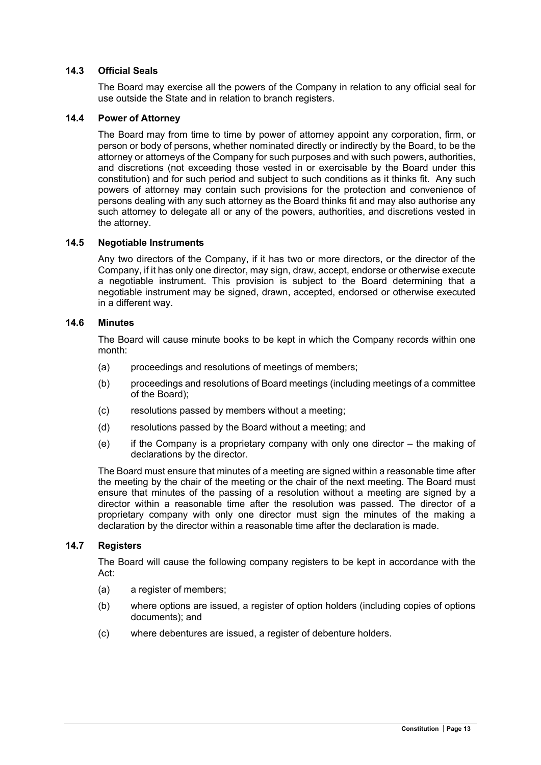### 14.3 Official Seals

The Board may exercise all the powers of the Company in relation to any official seal for use outside the State and in relation to branch registers.

### 14.4 Power of Attorney

The Board may from time to time by power of attorney appoint any corporation, firm, or person or body of persons, whether nominated directly or indirectly by the Board, to be the attorney or attorneys of the Company for such purposes and with such powers, authorities, and discretions (not exceeding those vested in or exercisable by the Board under this constitution) and for such period and subject to such conditions as it thinks fit. Any such powers of attorney may contain such provisions for the protection and convenience of persons dealing with any such attorney as the Board thinks fit and may also authorise any such attorney to delegate all or any of the powers, authorities, and discretions vested in the attorney.

#### 14.5 Negotiable Instruments

Any two directors of the Company, if it has two or more directors, or the director of the Company, if it has only one director, may sign, draw, accept, endorse or otherwise execute a negotiable instrument. This provision is subject to the Board determining that a negotiable instrument may be signed, drawn, accepted, endorsed or otherwise executed in a different way.

### 14.6 Minutes

The Board will cause minute books to be kept in which the Company records within one month:

- (a) proceedings and resolutions of meetings of members;
- (b) proceedings and resolutions of Board meetings (including meetings of a committee of the Board);
- (c) resolutions passed by members without a meeting;
- (d) resolutions passed by the Board without a meeting; and
- $(e)$  if the Company is a proprietary company with only one director the making of declarations by the director.

The Board must ensure that minutes of a meeting are signed within a reasonable time after the meeting by the chair of the meeting or the chair of the next meeting. The Board must ensure that minutes of the passing of a resolution without a meeting are signed by a director within a reasonable time after the resolution was passed. The director of a proprietary company with only one director must sign the minutes of the making a declaration by the director within a reasonable time after the declaration is made.

#### 14.7 Registers

The Board will cause the following company registers to be kept in accordance with the Act:

- (a) a register of members;
- (b) where options are issued, a register of option holders (including copies of options documents); and
- (c) where debentures are issued, a register of debenture holders.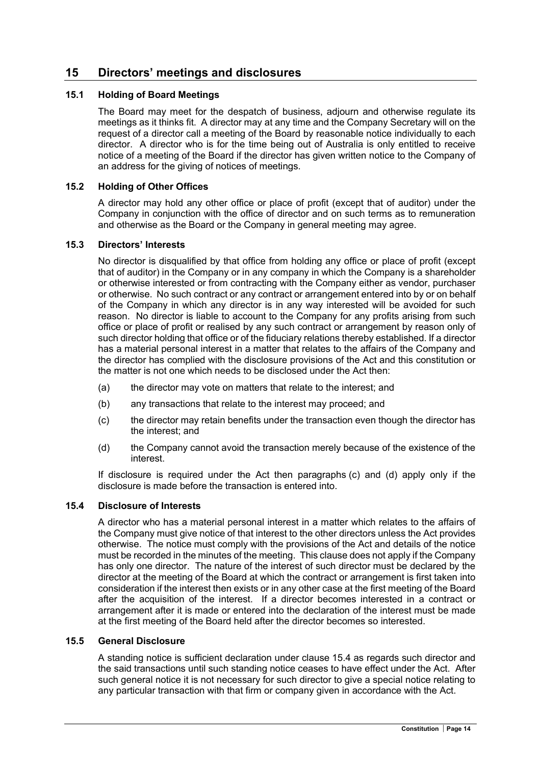## 15 Directors' meetings and disclosures

### 15.1 Holding of Board Meetings

The Board may meet for the despatch of business, adjourn and otherwise regulate its meetings as it thinks fit. A director may at any time and the Company Secretary will on the request of a director call a meeting of the Board by reasonable notice individually to each director. A director who is for the time being out of Australia is only entitled to receive notice of a meeting of the Board if the director has given written notice to the Company of an address for the giving of notices of meetings.

### 15.2 Holding of Other Offices

A director may hold any other office or place of profit (except that of auditor) under the Company in conjunction with the office of director and on such terms as to remuneration and otherwise as the Board or the Company in general meeting may agree.

### 15.3 Directors' Interests

No director is disqualified by that office from holding any office or place of profit (except that of auditor) in the Company or in any company in which the Company is a shareholder or otherwise interested or from contracting with the Company either as vendor, purchaser or otherwise. No such contract or any contract or arrangement entered into by or on behalf of the Company in which any director is in any way interested will be avoided for such reason. No director is liable to account to the Company for any profits arising from such office or place of profit or realised by any such contract or arrangement by reason only of such director holding that office or of the fiduciary relations thereby established. If a director has a material personal interest in a matter that relates to the affairs of the Company and the director has complied with the disclosure provisions of the Act and this constitution or the matter is not one which needs to be disclosed under the Act then:

- (a) the director may vote on matters that relate to the interest; and
- (b) any transactions that relate to the interest may proceed; and
- (c) the director may retain benefits under the transaction even though the director has the interest; and
- (d) the Company cannot avoid the transaction merely because of the existence of the interest.

If disclosure is required under the Act then paragraphs (c) and (d) apply only if the disclosure is made before the transaction is entered into.

### 15.4 Disclosure of Interests

A director who has a material personal interest in a matter which relates to the affairs of the Company must give notice of that interest to the other directors unless the Act provides otherwise. The notice must comply with the provisions of the Act and details of the notice must be recorded in the minutes of the meeting. This clause does not apply if the Company has only one director. The nature of the interest of such director must be declared by the director at the meeting of the Board at which the contract or arrangement is first taken into consideration if the interest then exists or in any other case at the first meeting of the Board after the acquisition of the interest. If a director becomes interested in a contract or arrangement after it is made or entered into the declaration of the interest must be made at the first meeting of the Board held after the director becomes so interested.

### 15.5 General Disclosure

A standing notice is sufficient declaration under clause 15.4 as regards such director and the said transactions until such standing notice ceases to have effect under the Act. After such general notice it is not necessary for such director to give a special notice relating to any particular transaction with that firm or company given in accordance with the Act.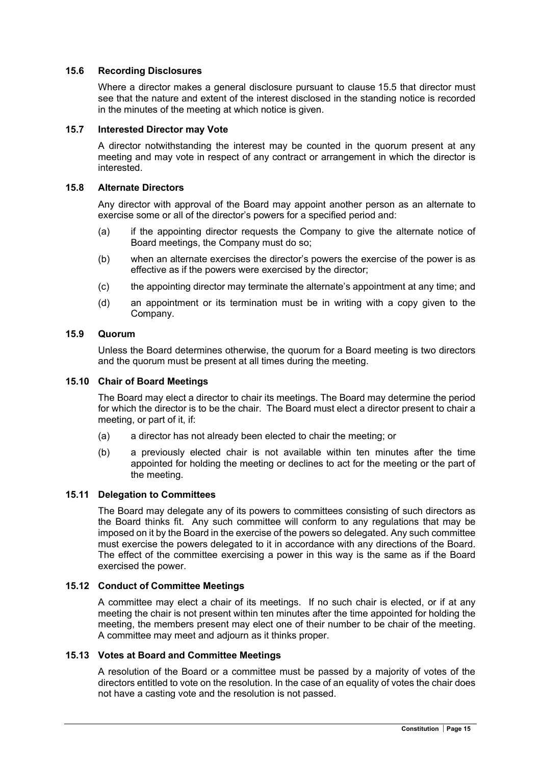### 15.6 Recording Disclosures

Where a director makes a general disclosure pursuant to clause 15.5 that director must see that the nature and extent of the interest disclosed in the standing notice is recorded in the minutes of the meeting at which notice is given.

### 15.7 Interested Director may Vote

A director notwithstanding the interest may be counted in the quorum present at any meeting and may vote in respect of any contract or arrangement in which the director is interested.

### 15.8 Alternate Directors

Any director with approval of the Board may appoint another person as an alternate to exercise some or all of the director's powers for a specified period and:

- (a) if the appointing director requests the Company to give the alternate notice of Board meetings, the Company must do so;
- (b) when an alternate exercises the director's powers the exercise of the power is as effective as if the powers were exercised by the director;
- (c) the appointing director may terminate the alternate's appointment at any time; and
- (d) an appointment or its termination must be in writing with a copy given to the Company.

### 15.9 Quorum

Unless the Board determines otherwise, the quorum for a Board meeting is two directors and the quorum must be present at all times during the meeting.

### 15.10 Chair of Board Meetings

The Board may elect a director to chair its meetings. The Board may determine the period for which the director is to be the chair. The Board must elect a director present to chair a meeting, or part of it, if:

- (a) a director has not already been elected to chair the meeting; or
- (b) a previously elected chair is not available within ten minutes after the time appointed for holding the meeting or declines to act for the meeting or the part of the meeting.

### 15.11 Delegation to Committees

The Board may delegate any of its powers to committees consisting of such directors as the Board thinks fit. Any such committee will conform to any regulations that may be imposed on it by the Board in the exercise of the powers so delegated. Any such committee must exercise the powers delegated to it in accordance with any directions of the Board. The effect of the committee exercising a power in this way is the same as if the Board exercised the power.

### 15.12 Conduct of Committee Meetings

A committee may elect a chair of its meetings. If no such chair is elected, or if at any meeting the chair is not present within ten minutes after the time appointed for holding the meeting, the members present may elect one of their number to be chair of the meeting. A committee may meet and adjourn as it thinks proper.

### 15.13 Votes at Board and Committee Meetings

A resolution of the Board or a committee must be passed by a majority of votes of the directors entitled to vote on the resolution. In the case of an equality of votes the chair does not have a casting vote and the resolution is not passed.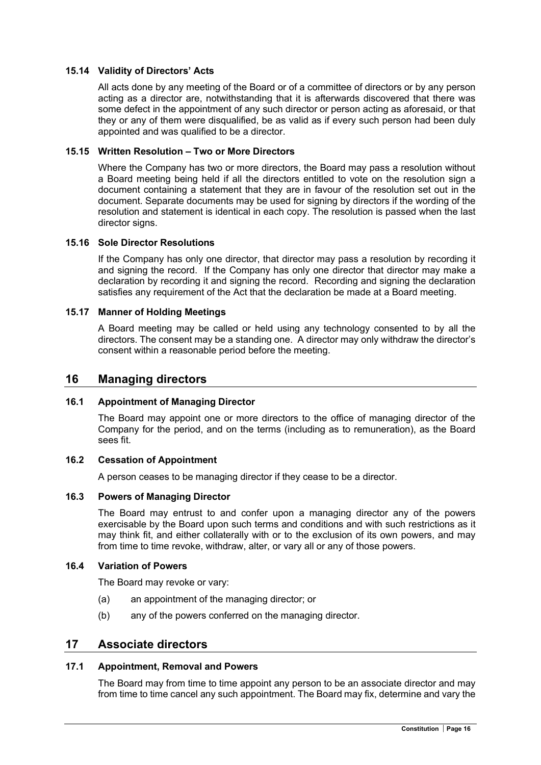### 15.14 Validity of Directors' Acts

All acts done by any meeting of the Board or of a committee of directors or by any person acting as a director are, notwithstanding that it is afterwards discovered that there was some defect in the appointment of any such director or person acting as aforesaid, or that they or any of them were disqualified, be as valid as if every such person had been duly appointed and was qualified to be a director.

### 15.15 Written Resolution – Two or More Directors

Where the Company has two or more directors, the Board may pass a resolution without a Board meeting being held if all the directors entitled to vote on the resolution sign a document containing a statement that they are in favour of the resolution set out in the document. Separate documents may be used for signing by directors if the wording of the resolution and statement is identical in each copy. The resolution is passed when the last director signs.

### 15.16 Sole Director Resolutions

If the Company has only one director, that director may pass a resolution by recording it and signing the record. If the Company has only one director that director may make a declaration by recording it and signing the record. Recording and signing the declaration satisfies any requirement of the Act that the declaration be made at a Board meeting.

### 15.17 Manner of Holding Meetings

A Board meeting may be called or held using any technology consented to by all the directors. The consent may be a standing one. A director may only withdraw the director's consent within a reasonable period before the meeting.

### 16 Managing directors

### 16.1 Appointment of Managing Director

The Board may appoint one or more directors to the office of managing director of the Company for the period, and on the terms (including as to remuneration), as the Board sees fit.

### 16.2 Cessation of Appointment

A person ceases to be managing director if they cease to be a director.

### 16.3 Powers of Managing Director

The Board may entrust to and confer upon a managing director any of the powers exercisable by the Board upon such terms and conditions and with such restrictions as it may think fit, and either collaterally with or to the exclusion of its own powers, and may from time to time revoke, withdraw, alter, or vary all or any of those powers.

#### 16.4 Variation of Powers

The Board may revoke or vary:

- (a) an appointment of the managing director; or
- (b) any of the powers conferred on the managing director.

### 17 Associate directors

### 17.1 Appointment, Removal and Powers

The Board may from time to time appoint any person to be an associate director and may from time to time cancel any such appointment. The Board may fix, determine and vary the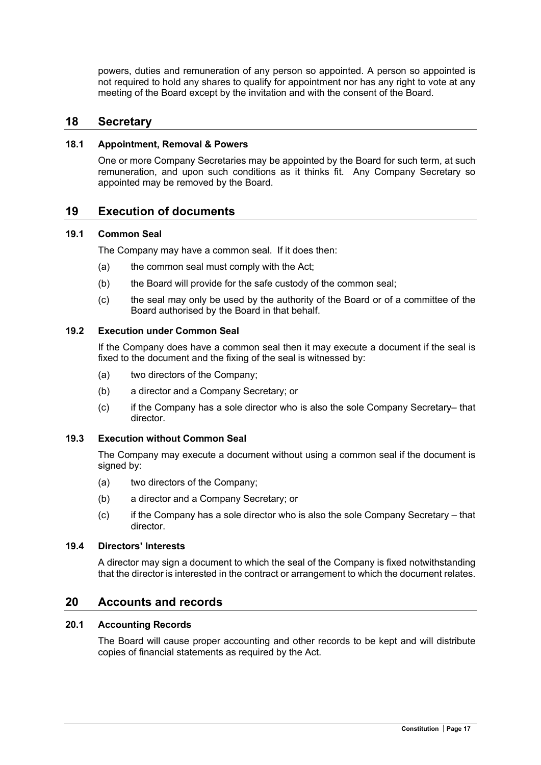powers, duties and remuneration of any person so appointed. A person so appointed is not required to hold any shares to qualify for appointment nor has any right to vote at any meeting of the Board except by the invitation and with the consent of the Board.

### 18 Secretary

### 18.1 Appointment, Removal & Powers

One or more Company Secretaries may be appointed by the Board for such term, at such remuneration, and upon such conditions as it thinks fit. Any Company Secretary so appointed may be removed by the Board.

### 19 Execution of documents

### 19.1 Common Seal

The Company may have a common seal. If it does then:

- (a) the common seal must comply with the Act;
- (b) the Board will provide for the safe custody of the common seal;
- (c) the seal may only be used by the authority of the Board or of a committee of the Board authorised by the Board in that behalf.

### 19.2 Execution under Common Seal

If the Company does have a common seal then it may execute a document if the seal is fixed to the document and the fixing of the seal is witnessed by:

- (a) two directors of the Company;
- (b) a director and a Company Secretary; or
- (c) if the Company has a sole director who is also the sole Company Secretary– that director.

### 19.3 Execution without Common Seal

The Company may execute a document without using a common seal if the document is signed by:

- (a) two directors of the Company;
- (b) a director and a Company Secretary; or
- (c) if the Company has a sole director who is also the sole Company Secretary that director.

### 19.4 Directors' Interests

A director may sign a document to which the seal of the Company is fixed notwithstanding that the director is interested in the contract or arrangement to which the document relates.

### 20 Accounts and records

### 20.1 Accounting Records

The Board will cause proper accounting and other records to be kept and will distribute copies of financial statements as required by the Act.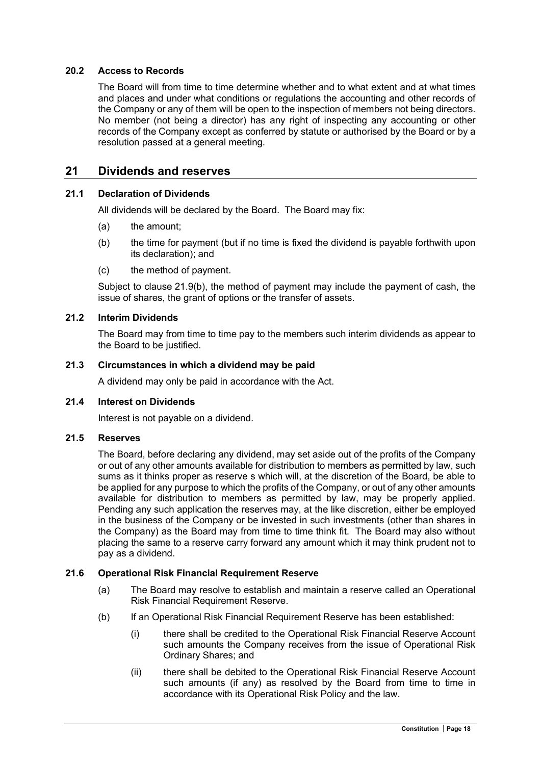### 20.2 Access to Records

The Board will from time to time determine whether and to what extent and at what times and places and under what conditions or regulations the accounting and other records of the Company or any of them will be open to the inspection of members not being directors. No member (not being a director) has any right of inspecting any accounting or other records of the Company except as conferred by statute or authorised by the Board or by a resolution passed at a general meeting.

### 21 Dividends and reserves

### 21.1 Declaration of Dividends

All dividends will be declared by the Board. The Board may fix:

- (a) the amount;
- (b) the time for payment (but if no time is fixed the dividend is payable forthwith upon its declaration); and
- (c) the method of payment.

Subject to clause 21.9(b), the method of payment may include the payment of cash, the issue of shares, the grant of options or the transfer of assets.

### 21.2 Interim Dividends

The Board may from time to time pay to the members such interim dividends as appear to the Board to be justified.

### 21.3 Circumstances in which a dividend may be paid

A dividend may only be paid in accordance with the Act.

### 21.4 Interest on Dividends

Interest is not payable on a dividend.

### 21.5 Reserves

The Board, before declaring any dividend, may set aside out of the profits of the Company or out of any other amounts available for distribution to members as permitted by law, such sums as it thinks proper as reserve s which will, at the discretion of the Board, be able to be applied for any purpose to which the profits of the Company, or out of any other amounts available for distribution to members as permitted by law, may be properly applied. Pending any such application the reserves may, at the like discretion, either be employed in the business of the Company or be invested in such investments (other than shares in the Company) as the Board may from time to time think fit. The Board may also without placing the same to a reserve carry forward any amount which it may think prudent not to pay as a dividend.

### 21.6 Operational Risk Financial Requirement Reserve

- (a) The Board may resolve to establish and maintain a reserve called an Operational Risk Financial Requirement Reserve.
- (b) If an Operational Risk Financial Requirement Reserve has been established:
	- (i) there shall be credited to the Operational Risk Financial Reserve Account such amounts the Company receives from the issue of Operational Risk Ordinary Shares; and
	- (ii) there shall be debited to the Operational Risk Financial Reserve Account such amounts (if any) as resolved by the Board from time to time in accordance with its Operational Risk Policy and the law.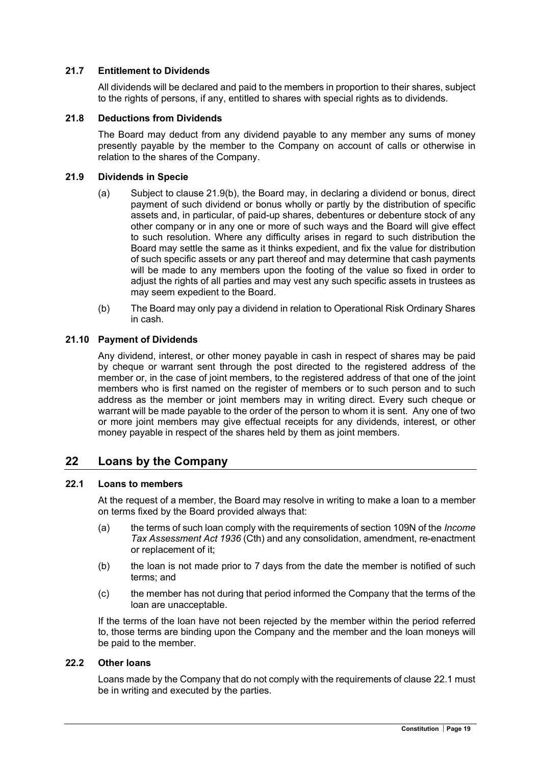### 21.7 Entitlement to Dividends

All dividends will be declared and paid to the members in proportion to their shares, subject to the rights of persons, if any, entitled to shares with special rights as to dividends.

### 21.8 Deductions from Dividends

The Board may deduct from any dividend payable to any member any sums of money presently payable by the member to the Company on account of calls or otherwise in relation to the shares of the Company.

### 21.9 Dividends in Specie

- (a) Subject to clause 21.9(b), the Board may, in declaring a dividend or bonus, direct payment of such dividend or bonus wholly or partly by the distribution of specific assets and, in particular, of paid-up shares, debentures or debenture stock of any other company or in any one or more of such ways and the Board will give effect to such resolution. Where any difficulty arises in regard to such distribution the Board may settle the same as it thinks expedient, and fix the value for distribution of such specific assets or any part thereof and may determine that cash payments will be made to any members upon the footing of the value so fixed in order to adjust the rights of all parties and may vest any such specific assets in trustees as may seem expedient to the Board.
- (b) The Board may only pay a dividend in relation to Operational Risk Ordinary Shares in cash.

### 21.10 Payment of Dividends

Any dividend, interest, or other money payable in cash in respect of shares may be paid by cheque or warrant sent through the post directed to the registered address of the member or, in the case of joint members, to the registered address of that one of the joint members who is first named on the register of members or to such person and to such address as the member or joint members may in writing direct. Every such cheque or warrant will be made payable to the order of the person to whom it is sent. Any one of two or more joint members may give effectual receipts for any dividends, interest, or other money payable in respect of the shares held by them as joint members.

### 22 Loans by the Company

### 22.1 Loans to members

At the request of a member, the Board may resolve in writing to make a loan to a member on terms fixed by the Board provided always that:

- (a) the terms of such loan comply with the requirements of section 109N of the Income Tax Assessment Act 1936 (Cth) and any consolidation, amendment, re-enactment or replacement of it;
- (b) the loan is not made prior to 7 days from the date the member is notified of such terms; and
- (c) the member has not during that period informed the Company that the terms of the loan are unacceptable.

If the terms of the loan have not been rejected by the member within the period referred to, those terms are binding upon the Company and the member and the loan moneys will be paid to the member.

### 22.2 Other loans

Loans made by the Company that do not comply with the requirements of clause 22.1 must be in writing and executed by the parties.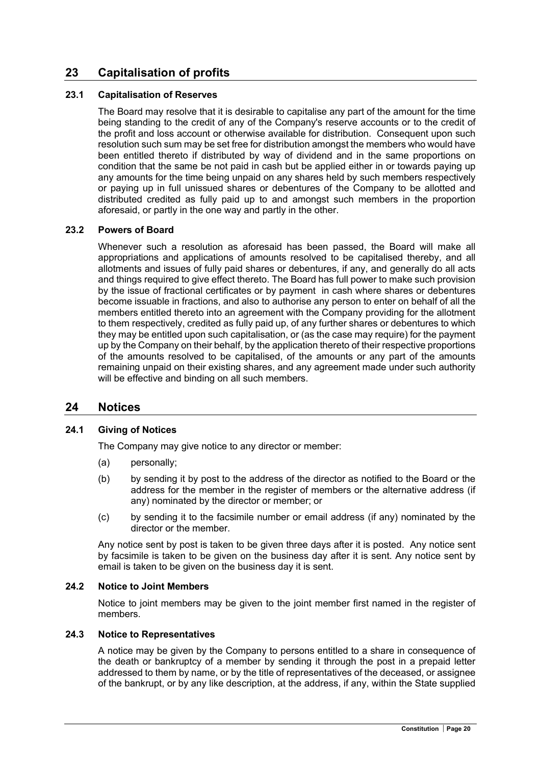## 23 Capitalisation of profits

### 23.1 Capitalisation of Reserves

The Board may resolve that it is desirable to capitalise any part of the amount for the time being standing to the credit of any of the Company's reserve accounts or to the credit of the profit and loss account or otherwise available for distribution. Consequent upon such resolution such sum may be set free for distribution amongst the members who would have been entitled thereto if distributed by way of dividend and in the same proportions on condition that the same be not paid in cash but be applied either in or towards paying up any amounts for the time being unpaid on any shares held by such members respectively or paying up in full unissued shares or debentures of the Company to be allotted and distributed credited as fully paid up to and amongst such members in the proportion aforesaid, or partly in the one way and partly in the other.

### 23.2 Powers of Board

Whenever such a resolution as aforesaid has been passed, the Board will make all appropriations and applications of amounts resolved to be capitalised thereby, and all allotments and issues of fully paid shares or debentures, if any, and generally do all acts and things required to give effect thereto. The Board has full power to make such provision by the issue of fractional certificates or by payment in cash where shares or debentures become issuable in fractions, and also to authorise any person to enter on behalf of all the members entitled thereto into an agreement with the Company providing for the allotment to them respectively, credited as fully paid up, of any further shares or debentures to which they may be entitled upon such capitalisation, or (as the case may require) for the payment up by the Company on their behalf, by the application thereto of their respective proportions of the amounts resolved to be capitalised, of the amounts or any part of the amounts remaining unpaid on their existing shares, and any agreement made under such authority will be effective and binding on all such members.

### 24 Notices

### 24.1 Giving of Notices

The Company may give notice to any director or member:

- (a) personally;
- (b) by sending it by post to the address of the director as notified to the Board or the address for the member in the register of members or the alternative address (if any) nominated by the director or member; or
- (c) by sending it to the facsimile number or email address (if any) nominated by the director or the member.

Any notice sent by post is taken to be given three days after it is posted. Any notice sent by facsimile is taken to be given on the business day after it is sent. Any notice sent by email is taken to be given on the business day it is sent.

### 24.2 Notice to Joint Members

Notice to joint members may be given to the joint member first named in the register of members.

### 24.3 Notice to Representatives

A notice may be given by the Company to persons entitled to a share in consequence of the death or bankruptcy of a member by sending it through the post in a prepaid letter addressed to them by name, or by the title of representatives of the deceased, or assignee of the bankrupt, or by any like description, at the address, if any, within the State supplied